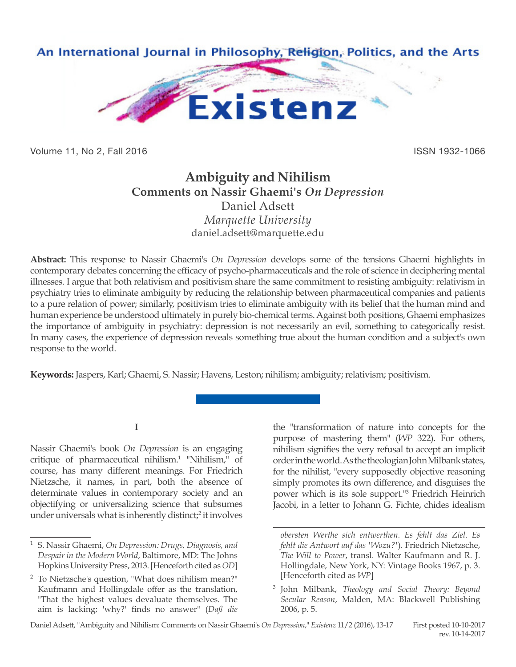

Volume 11, No 2, Fall 2016 ISSN 1932-1066

# **Ambiguity and Nihilism Comments on Nassir Ghaemi's** *On Depression* Daniel Adsett *Marquette University* daniel.adsett@marquette.edu

**Abstract:** This response to Nassir Ghaemi's *On Depression* develops some of the tensions Ghaemi highlights in contemporary debates concerning the efficacy of psycho-pharmaceuticals and the role of science in deciphering mental illnesses. I argue that both relativism and positivism share the same commitment to resisting ambiguity: relativism in psychiatry tries to eliminate ambiguity by reducing the relationship between pharmaceutical companies and patients to a pure relation of power; similarly, positivism tries to eliminate ambiguity with its belief that the human mind and human experience be understood ultimately in purely bio-chemical terms. Against both positions, Ghaemi emphasizes the importance of ambiguity in psychiatry: depression is not necessarily an evil, something to categorically resist. In many cases, the experience of depression reveals something true about the human condition and a subject's own response to the world.

**Keywords:** Jaspers, Karl; Ghaemi, S. Nassir; Havens, Leston; nihilism; ambiguity; relativism; positivism.

### **I**

Nassir Ghaemi's book *On Depression* is an engaging critique of pharmaceutical nihilism.1 "Nihilism," of course, has many different meanings. For Friedrich Nietzsche, it names, in part, both the absence of determinate values in contemporary society and an objectifying or universalizing science that subsumes under universals what is inherently distinct;<sup>2</sup> it involves the "transformation of nature into concepts for the purpose of mastering them" (*WP* 322). For others, nihilism signifies the very refusal to accept an implicit order in the world. As the theologian John Milbank states, for the nihilist, "every supposedly objective reasoning simply promotes its own difference, and disguises the power which is its sole support."3 Friedrich Heinrich Jacobi, in a letter to Johann G. Fichte, chides idealism

<sup>1</sup> S. Nassir Ghaemi, *On Depression: Drugs, Diagnosis, and Despair in the Modern World*, Baltimore, MD: The Johns Hopkins University Press, 2013. [Henceforth cited as *OD*]

<sup>2</sup> To Nietzsche's question, "What does nihilism mean?" Kaufmann and Hollingdale offer as the translation, "That the highest values devaluate themselves. The aim is lacking; 'why?' finds no answer" (*Daß die* 

*obersten Werthe sich entwerthen. Es fehlt das Ziel. Es fehlt die Antwort auf das 'Wozu?'*). Friedrich Nietzsche, *The Will to Power*, transl. Walter Kaufmann and R. J. Hollingdale, New York, NY: Vintage Books 1967, p. 3. [Henceforth cited as *WP*]

<sup>3</sup> John Milbank, *Theology and Social Theory: Beyond Secular Reason*, Malden, MA: Blackwell Publishing 2006, p. 5.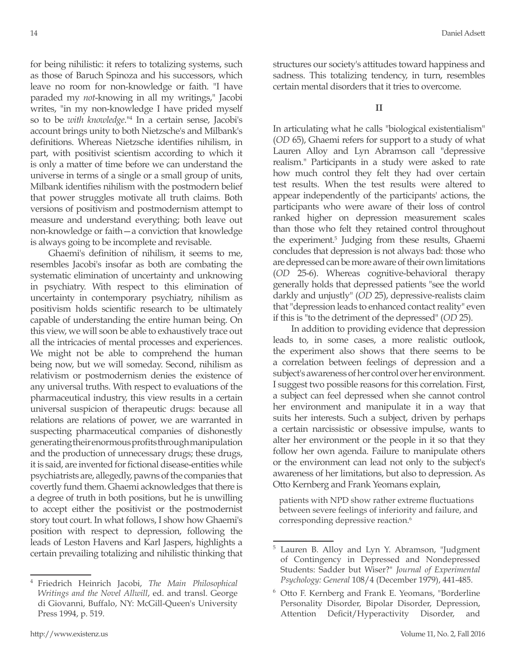for being nihilistic: it refers to totalizing systems, such as those of Baruch Spinoza and his successors, which leave no room for non-knowledge or faith. "I have paraded my *not*-knowing in all my writings," Jacobi writes, "in my non-knowledge I have prided myself so to be *with knowledge*."4 In a certain sense, Jacobi's account brings unity to both Nietzsche's and Milbank's definitions. Whereas Nietzsche identifies nihilism, in part, with positivist scientism according to which it is only a matter of time before we can understand the universe in terms of a single or a small group of units, Milbank identifies nihilism with the postmodern belief that power struggles motivate all truth claims. Both versions of positivism and postmodernism attempt to measure and understand everything; both leave out non-knowledge or faith—a conviction that knowledge is always going to be incomplete and revisable.

Ghaemi's definition of nihilism, it seems to me, resembles Jacobi's insofar as both are combating the systematic elimination of uncertainty and unknowing in psychiatry. With respect to this elimination of uncertainty in contemporary psychiatry, nihilism as positivism holds scientific research to be ultimately capable of understanding the entire human being. On this view, we will soon be able to exhaustively trace out all the intricacies of mental processes and experiences. We might not be able to comprehend the human being now, but we will someday. Second, nihilism as relativism or postmodernism denies the existence of any universal truths. With respect to evaluations of the pharmaceutical industry, this view results in a certain universal suspicion of therapeutic drugs: because all relations are relations of power, we are warranted in suspecting pharmaceutical companies of dishonestly generating their enormous profits through manipulation and the production of unnecessary drugs; these drugs, it is said, are invented for fictional disease-entities while psychiatrists are, allegedly, pawns of the companies that covertly fund them. Ghaemi acknowledges that there is a degree of truth in both positions, but he is unwilling to accept either the positivist or the postmodernist story tout court. In what follows, I show how Ghaemi's position with respect to depression, following the leads of Leston Havens and Karl Jaspers, highlights a certain prevailing totalizing and nihilistic thinking that

<sup>4</sup> Friedrich Heinrich Jacobi, *The Main Philosophical Writings and the Novel Allwill*, ed. and transl. George di Giovanni, Buffalo, NY: McGill-Queen's University Press 1994, p. 519.

structures our society's attitudes toward happiness and sadness. This totalizing tendency, in turn, resembles certain mental disorders that it tries to overcome.

In articulating what he calls "biological existentialism" (*OD* 65), Ghaemi refers for support to a study of what Lauren Alloy and Lyn Abramson call "depressive realism." Participants in a study were asked to rate how much control they felt they had over certain test results. When the test results were altered to appear independently of the participants' actions, the participants who were aware of their loss of control ranked higher on depression measurement scales than those who felt they retained control throughout the experiment.<sup>5</sup> Judging from these results, Ghaemi concludes that depression is not always bad: those who are depressed can be more aware of their own limitations (*OD* 25-6). Whereas cognitive-behavioral therapy generally holds that depressed patients "see the world darkly and unjustly" (*OD* 25), depressive-realists claim that "depression leads to enhanced contact reality" even if this is "to the detriment of the depressed" (*OD* 25).

In addition to providing evidence that depression leads to, in some cases, a more realistic outlook, the experiment also shows that there seems to be a correlation between feelings of depression and a subject's awareness of her control over her environment. I suggest two possible reasons for this correlation. First, a subject can feel depressed when she cannot control her environment and manipulate it in a way that suits her interests. Such a subject, driven by perhaps a certain narcissistic or obsessive impulse, wants to alter her environment or the people in it so that they follow her own agenda. Failure to manipulate others or the environment can lead not only to the subject's awareness of her limitations, but also to depression. As Otto Kernberg and Frank Yeomans explain,

patients with NPD show rather extreme fluctuations between severe feelings of inferiority and failure, and corresponding depressive reaction.<sup>6</sup>

<sup>&</sup>lt;sup>5</sup> Lauren B. Alloy and Lyn Y. Abramson, "Judgment of Contingency in Depressed and Nondepressed Students: Sadder but Wiser?" *Journal of Experimental Psychology: General* 108/4 (December 1979), 441-485.

<sup>6</sup> Otto F. Kernberg and Frank E. Yeomans, "Borderline Personality Disorder, Bipolar Disorder, Depression, Attention Deficit/Hyperactivity Disorder, and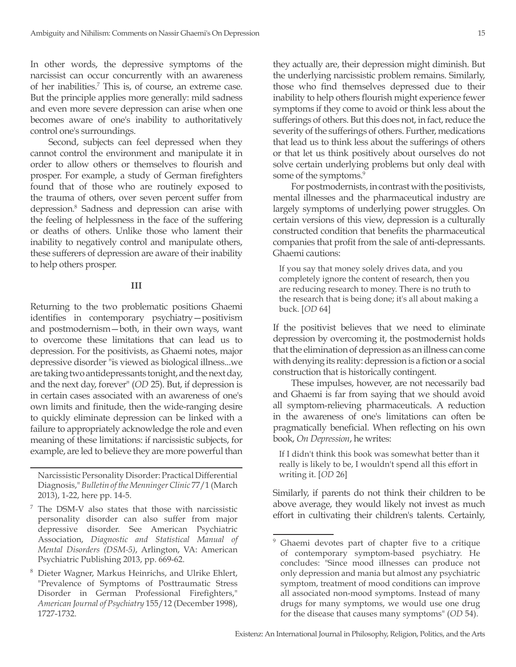In other words, the depressive symptoms of the narcissist can occur concurrently with an awareness of her inabilities.7 This is, of course, an extreme case. But the principle applies more generally: mild sadness and even more severe depression can arise when one becomes aware of one's inability to authoritatively control one's surroundings.

Second, subjects can feel depressed when they cannot control the environment and manipulate it in order to allow others or themselves to flourish and prosper. For example, a study of German firefighters found that of those who are routinely exposed to the trauma of others, over seven percent suffer from depression.8 Sadness and depression can arise with the feeling of helplessness in the face of the suffering or deaths of others. Unlike those who lament their inability to negatively control and manipulate others, these sufferers of depression are aware of their inability to help others prosper.

#### **III**

Returning to the two problematic positions Ghaemi identifies in contemporary psychiatry—positivism and postmodernism—both, in their own ways, want to overcome these limitations that can lead us to depression. For the positivists, as Ghaemi notes, major depressive disorder "is viewed as biological illness...we are taking two antidepressants tonight, and the next day, and the next day, forever" (*OD* 25). But, if depression is in certain cases associated with an awareness of one's own limits and finitude, then the wide-ranging desire to quickly eliminate depression can be linked with a failure to appropriately acknowledge the role and even meaning of these limitations: if narcissistic subjects, for example, are led to believe they are more powerful than

Narcissistic Personality Disorder: Practical Differential Diagnosis," *Bulletin of the Menninger Clinic* 77/1 (March 2013), 1-22, here pp. 14-5.

<sup>7</sup> The DSM-V also states that those with narcissistic personality disorder can also suffer from major depressive disorder. See American Psychiatric Association, *Diagnostic and Statistical Manual of Mental Disorders (DSM-5)*, Arlington, VA: American Psychiatric Publishing 2013, pp. 669-62.

<sup>8</sup> Dieter Wagner, Markus Heinrichs, and Ulrike Ehlert, "Prevalence of Symptoms of Posttraumatic Stress Disorder in German Professional Firefighters," *American Journal of Psychiatry* 155/12 (December 1998), 1727-1732.

they actually are, their depression might diminish. But the underlying narcissistic problem remains. Similarly, those who find themselves depressed due to their inability to help others flourish might experience fewer symptoms if they come to avoid or think less about the sufferings of others. But this does not, in fact, reduce the severity of the sufferings of others. Further, medications that lead us to think less about the sufferings of others or that let us think positively about ourselves do not solve certain underlying problems but only deal with some of the symptoms.<sup>9</sup>

For postmodernists, in contrast with the positivists, mental illnesses and the pharmaceutical industry are largely symptoms of underlying power struggles. On certain versions of this view, depression is a culturally constructed condition that benefits the pharmaceutical companies that profit from the sale of anti-depressants. Ghaemi cautions:

If you say that money solely drives data, and you completely ignore the content of research, then you are reducing research to money. There is no truth to the research that is being done; it's all about making a buck. [*OD* 64]

If the positivist believes that we need to eliminate depression by overcoming it, the postmodernist holds that the elimination of depression as an illness can come with denying its reality: depression is a fiction or a social construction that is historically contingent.

These impulses, however, are not necessarily bad and Ghaemi is far from saying that we should avoid all symptom-relieving pharmaceuticals. A reduction in the awareness of one's limitations can often be pragmatically beneficial. When reflecting on his own book, *On Depression*, he writes:

If I didn't think this book was somewhat better than it really is likely to be, I wouldn't spend all this effort in writing it. [*OD* 26]

Similarly, if parents do not think their children to be above average, they would likely not invest as much effort in cultivating their children's talents. Certainly,

<sup>&</sup>lt;sup>9</sup> Ghaemi devotes part of chapter five to a critique of contemporary symptom-based psychiatry. He concludes: "Since mood illnesses can produce not only depression and mania but almost any psychiatric symptom, treatment of mood conditions can improve all associated non-mood symptoms. Instead of many drugs for many symptoms, we would use one drug for the disease that causes many symptoms" (*OD* 54).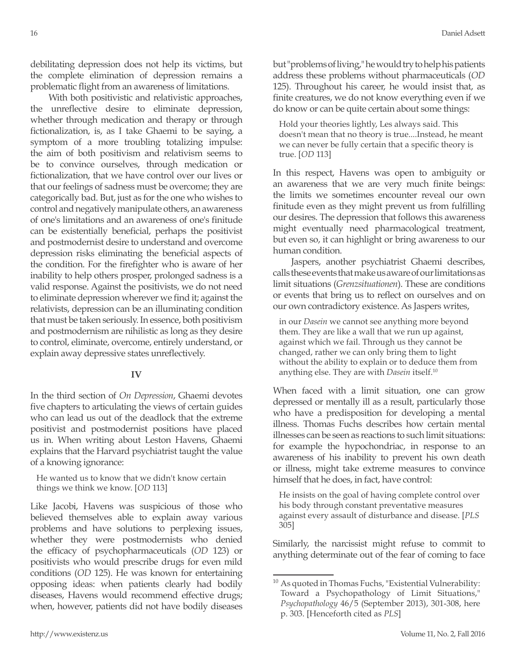debilitating depression does not help its victims, but the complete elimination of depression remains a problematic flight from an awareness of limitations.

With both positivistic and relativistic approaches, the unreflective desire to eliminate depression, whether through medication and therapy or through fictionalization, is, as I take Ghaemi to be saying, a symptom of a more troubling totalizing impulse: the aim of both positivism and relativism seems to be to convince ourselves, through medication or fictionalization, that we have control over our lives or that our feelings of sadness must be overcome; they are categorically bad. But, just as for the one who wishes to control and negatively manipulate others, an awareness of one's limitations and an awareness of one's finitude can be existentially beneficial, perhaps the positivist and postmodernist desire to understand and overcome depression risks eliminating the beneficial aspects of the condition. For the firefighter who is aware of her inability to help others prosper, prolonged sadness is a valid response. Against the positivists, we do not need to eliminate depression wherever we find it; against the relativists, depression can be an illuminating condition that must be taken seriously. In essence, both positivism and postmodernism are nihilistic as long as they desire to control, eliminate, overcome, entirely understand, or explain away depressive states unreflectively.

## **IV**

In the third section of *On Depression*, Ghaemi devotes five chapters to articulating the views of certain guides who can lead us out of the deadlock that the extreme positivist and postmodernist positions have placed us in. When writing about Leston Havens, Ghaemi explains that the Harvard psychiatrist taught the value of a knowing ignorance:

He wanted us to know that we didn't know certain things we think we know. [*OD* 113]

Like Jacobi, Havens was suspicious of those who believed themselves able to explain away various problems and have solutions to perplexing issues, whether they were postmodernists who denied the efficacy of psychopharmaceuticals (*OD* 123) or positivists who would prescribe drugs for even mild conditions (*OD* 125). He was known for entertaining opposing ideas: when patients clearly had bodily diseases, Havens would recommend effective drugs; when, however, patients did not have bodily diseases

but "problems of living," he would try to help his patients address these problems without pharmaceuticals (*OD* 125). Throughout his career, he would insist that, as finite creatures, we do not know everything even if we do know or can be quite certain about some things:

Hold your theories lightly, Les always said. This doesn't mean that no theory is true....Instead, he meant we can never be fully certain that a specific theory is true. [*OD* 113]

In this respect, Havens was open to ambiguity or an awareness that we are very much finite beings: the limits we sometimes encounter reveal our own finitude even as they might prevent us from fulfilling our desires. The depression that follows this awareness might eventually need pharmacological treatment, but even so, it can highlight or bring awareness to our human condition.

Jaspers, another psychiatrist Ghaemi describes, calls these events that make us aware of our limitations as limit situations (*Grenzsituationen*). These are conditions or events that bring us to reflect on ourselves and on our own contradictory existence. As Jaspers writes,

in our *Dasein* we cannot see anything more beyond them. They are like a wall that we run up against, against which we fail. Through us they cannot be changed, rather we can only bring them to light without the ability to explain or to deduce them from anything else. They are with *Dasein* itself.10

When faced with a limit situation, one can grow depressed or mentally ill as a result, particularly those who have a predisposition for developing a mental illness. Thomas Fuchs describes how certain mental illnesses can be seen as reactions to such limit situations: for example the hypochondriac, in response to an awareness of his inability to prevent his own death or illness, might take extreme measures to convince himself that he does, in fact, have control:

He insists on the goal of having complete control over his body through constant preventative measures against every assault of disturbance and disease. [*PLS* 305]

Similarly, the narcissist might refuse to commit to anything determinate out of the fear of coming to face

 $10$  As quoted in Thomas Fuchs, "Existential Vulnerability: Toward a Psychopathology of Limit Situations," *Psychopathology* 46/5 (September 2013), 301-308, here p. 303. [Henceforth cited as *PLS*]